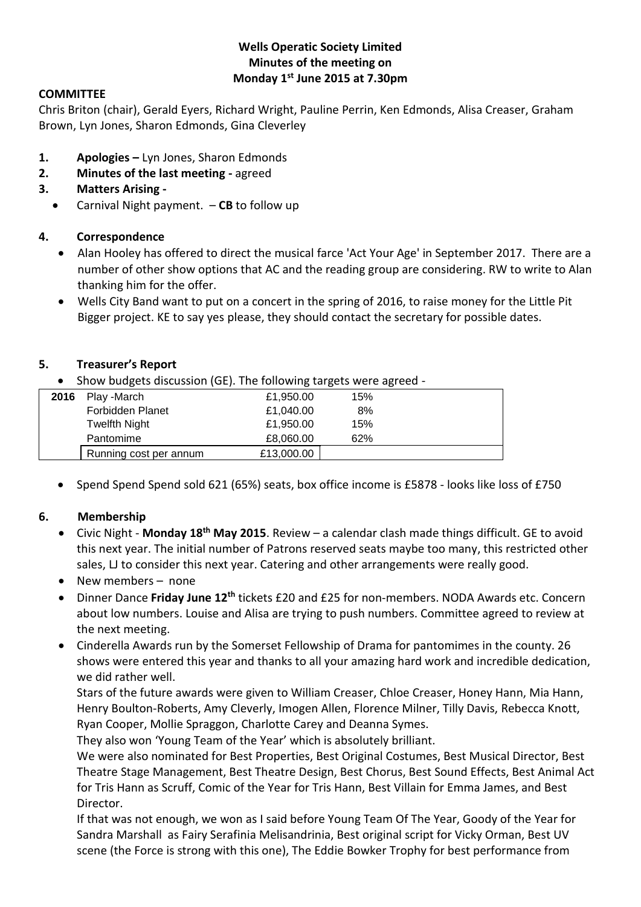## **Wells Operatic Society Limited Minutes of the meeting on Monday 1st June 2015 at 7.30pm**

### **COMMITTEE**

Chris Briton (chair), Gerald Eyers, Richard Wright, Pauline Perrin, Ken Edmonds, Alisa Creaser, Graham Brown, Lyn Jones, Sharon Edmonds, Gina Cleverley

- **1. Apologies –** Lyn Jones, Sharon Edmonds
- **2. Minutes of the last meeting -** agreed
- **3. Matters Arising -**
	- Carnival Night payment. **CB** to follow up

#### **4. Correspondence**

- Alan Hooley has offered to direct the musical farce 'Act Your Age' in September 2017. There are a number of other show options that AC and the reading group are considering. RW to write to Alan thanking him for the offer.
- Wells City Band want to put on a concert in the spring of 2016, to raise money for the Little Pit Bigger project. KE to say yes please, they should contact the secretary for possible dates.

#### **5. Treasurer's Report**

Show budgets discussion (GE). The following targets were agreed -

| 2016 | Play -March            | £1,950.00  | 15% |  |
|------|------------------------|------------|-----|--|
|      | Forbidden Planet       | £1,040.00  | 8%  |  |
|      | Twelfth Night          | £1,950.00  | 15% |  |
|      | Pantomime              | £8.060.00  | 62% |  |
|      | Running cost per annum | £13,000.00 |     |  |

• Spend Spend Spend sold 621 (65%) seats, box office income is £5878 - looks like loss of £750

#### **6. Membership**

- Civic Night **Monday 18th May 2015**. Review a calendar clash made things difficult. GE to avoid this next year. The initial number of Patrons reserved seats maybe too many, this restricted other sales, LJ to consider this next year. Catering and other arrangements were really good.
- New members none
- Dinner Dance **Friday June 12th** tickets £20 and £25 for non-members. NODA Awards etc. Concern about low numbers. Louise and Alisa are trying to push numbers. Committee agreed to review at the next meeting.
- Cinderella Awards run by the Somerset Fellowship of Drama for pantomimes in the county. 26 shows were entered this year and thanks to all your amazing hard work and incredible dedication, we did rather well.

Stars of the future awards were given to William Creaser, Chloe Creaser, Honey Hann, Mia Hann, Henry Boulton-Roberts, Amy Cleverly, Imogen Allen, Florence Milner, Tilly Davis, Rebecca Knott, Ryan Cooper, Mollie Spraggon, Charlotte Carey and Deanna Symes.

They also won 'Young Team of the Year' which is absolutely brilliant.

We were also nominated for Best Properties, Best Original Costumes, Best Musical Director, Best Theatre Stage Management, Best Theatre Design, Best Chorus, Best Sound Effects, Best Animal Act for Tris Hann as Scruff, Comic of the Year for Tris Hann, Best Villain for Emma James, and Best Director.

If that was not enough, we won as I said before Young Team Of The Year, Goody of the Year for Sandra Marshall as Fairy Serafinia Melisandrinia, Best original script for Vicky Orman, Best UV scene (the Force is strong with this one), The Eddie Bowker Trophy for best performance from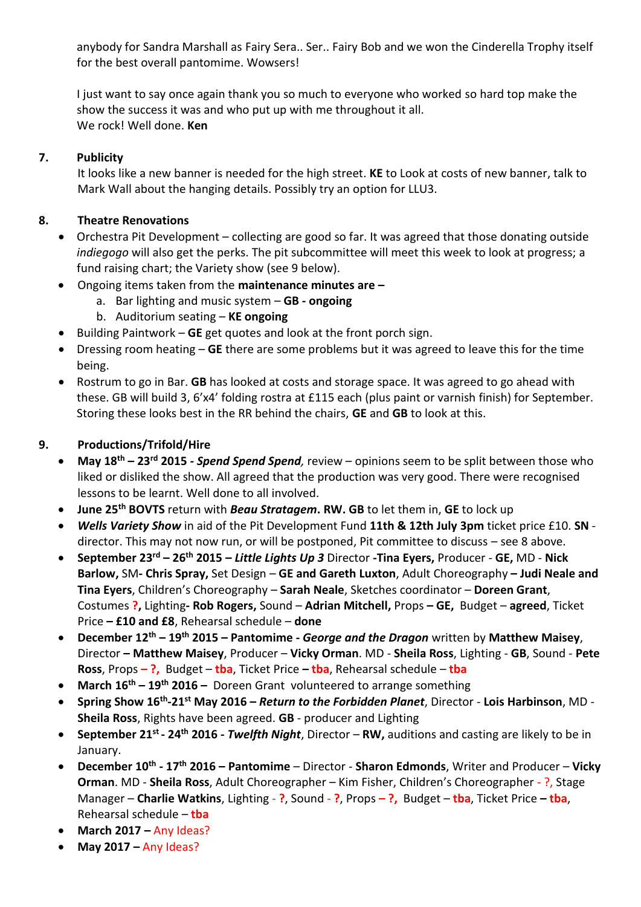anybody for Sandra Marshall as Fairy Sera.. Ser.. Fairy Bob and we won the Cinderella Trophy itself for the best overall pantomime. Wowsers!

I just want to say once again thank you so much to everyone who worked so hard top make the show the success it was and who put up with me throughout it all. We rock! Well done. **Ken**

## **7. Publicity**

It looks like a new banner is needed for the high street. **KE** to Look at costs of new banner, talk to Mark Wall about the hanging details. Possibly try an option for LLU3.

## **8. Theatre Renovations**

- Orchestra Pit Development collecting are good so far. It was agreed that those donating outside *indiegogo* will also get the perks. The pit subcommittee will meet this week to look at progress; a fund raising chart; the Variety show (see 9 below).
- Ongoing items taken from the **maintenance minutes are –**
	- a. Bar lighting and music system **GB - ongoing**
	- b. Auditorium seating **KE ongoing**
- Building Paintwork **GE** get quotes and look at the front porch sign.
- Dressing room heating **GE** there are some problems but it was agreed to leave this for the time being.
- Rostrum to go in Bar. **GB** has looked at costs and storage space. It was agreed to go ahead with these. GB will build 3, 6'x4' folding rostra at £115 each (plus paint or varnish finish) for September. Storing these looks best in the RR behind the chairs, **GE** and **GB** to look at this.

## **9. Productions/Trifold/Hire**

- **May 18th – 23rd 2015** *- Spend Spend Spend,* review opinions seem to be split between those who liked or disliked the show. All agreed that the production was very good. There were recognised lessons to be learnt. Well done to all involved.
- **June 25th BOVTS** return with *Beau Stratagem***. RW. GB** to let them in, **GE** to lock up
- *Wells Variety Show* in aid of the Pit Development Fund **11th & 12th July 3pm** ticket price £10. **SN** director. This may not now run, or will be postponed, Pit committee to discuss – see 8 above.
- **September 23rd – 26th 2015 –** *Little Lights Up 3* Director **-Tina Eyers,** Producer **GE,** MD **Nick Barlow,** SM**- Chris Spray,** Set Design – **GE and Gareth Luxton**, Adult Choreography **– Judi Neale and Tina Eyers**, Children's Choreography – **Sarah Neale**, Sketches coordinator – **Doreen Grant**, Costumes **?,** Lighting**- Rob Rogers,** Sound – **Adrian Mitchell,** Props **– GE,** Budget – **agreed**, Ticket Price **– £10 and £8**, Rehearsal schedule – **done**
- **December 12th – 19th 2015 – Pantomime -** *George and the Dragon* written by **Matthew Maisey**, Director **– Matthew Maisey**, Producer – **Vicky Orman**. MD - **Sheila Ross**, Lighting - **GB**, Sound - **Pete Ross**, Props **– ?,** Budget – **tba**, Ticket Price **– tba**, Rehearsal schedule – **tba**
- **March 16th – 19th 2016 –** Doreen Grant volunteered to arrange something
- **Spring Show 16th -21st May 2016 –** *Return to the Forbidden Planet*, Director **Lois Harbinson**, MD **Sheila Ross**, Rights have been agreed. **GB** - producer and Lighting
- **September 21st - 24th 2016 -** *Twelfth Night*, Director **RW,** auditions and casting are likely to be in January.
- **December 10th - 17th 2016 – Pantomime**  Director **Sharon Edmonds**, Writer and Producer **Vicky Orman**. MD - **Sheila Ross**, Adult Choreographer – Kim Fisher, Children's Choreographer - ?, Stage Manager – **Charlie Watkins**, Lighting - **?**, Sound - **?**, Props **– ?,** Budget – **tba**, Ticket Price **– tba**, Rehearsal schedule – **tba**
- **March 2017 –** Any Ideas?
- **May 2017 –** Any Ideas?